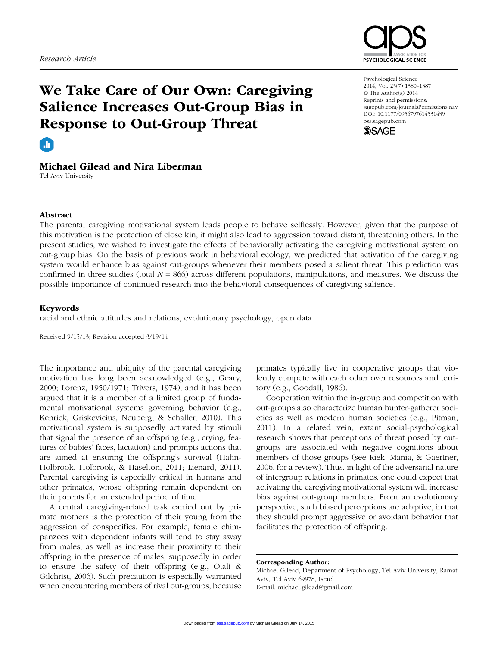

# We Take Care of Our Own: Caregiving Salience Increases Out-Group Bias in Response to Out-Group Threat

# Michael Gilead and Nira Liberman

Tel Aviv University

Psychological Science 2014, Vol. 25(7) 1380–1387 © The Author(s) 2014 Reprints and permissions: sagepub.com/journalsPermissions.nav DOI: 10.1177/0956797614531439 pss.sagepub.com



## Abstract

 $\blacksquare$ 

The parental caregiving motivational system leads people to behave selflessly. However, given that the purpose of this motivation is the protection of close kin, it might also lead to aggression toward distant, threatening others. In the present studies, we wished to investigate the effects of behaviorally activating the caregiving motivational system on out-group bias. On the basis of previous work in behavioral ecology, we predicted that activation of the caregiving system would enhance bias against out-groups whenever their members posed a salient threat. This prediction was confirmed in three studies (total  $N = 866$ ) across different populations, manipulations, and measures. We discuss the possible importance of continued research into the behavioral consequences of caregiving salience.

#### Keywords

racial and ethnic attitudes and relations, evolutionary psychology, open data

Received 9/15/13; Revision accepted 3/19/14

The importance and ubiquity of the parental caregiving motivation has long been acknowledged (e.g., Geary, 2000; Lorenz, 1950/1971; Trivers, 1974), and it has been argued that it is a member of a limited group of fundamental motivational systems governing behavior (e.g., Kenrick, Griskevicius, Neuberg, & Schaller, 2010). This motivational system is supposedly activated by stimuli that signal the presence of an offspring (e.g., crying, features of babies' faces, lactation) and prompts actions that are aimed at ensuring the offspring's survival (Hahn-Holbrook, Holbrook, & Haselton, 2011; Lienard, 2011). Parental caregiving is especially critical in humans and other primates, whose offspring remain dependent on their parents for an extended period of time.

A central caregiving-related task carried out by primate mothers is the protection of their young from the aggression of conspecifics. For example, female chimpanzees with dependent infants will tend to stay away from males, as well as increase their proximity to their offspring in the presence of males, supposedly in order to ensure the safety of their offspring (e.g., Otali & Gilchrist, 2006). Such precaution is especially warranted when encountering members of rival out-groups, because

primates typically live in cooperative groups that violently compete with each other over resources and territory (e.g., Goodall, 1986).

Cooperation within the in-group and competition with out-groups also characterize human hunter-gatherer societies as well as modern human societies (e.g., Pitman, 2011). In a related vein, extant social-psychological research shows that perceptions of threat posed by outgroups are associated with negative cognitions about members of those groups (see Riek, Mania, & Gaertner, 2006, for a review). Thus, in light of the adversarial nature of intergroup relations in primates, one could expect that activating the caregiving motivational system will increase bias against out-group members. From an evolutionary perspective, such biased perceptions are adaptive, in that they should prompt aggressive or avoidant behavior that facilitates the protection of offspring.

#### Corresponding Author:

Michael Gilead, Department of Psychology, Tel Aviv University, Ramat Aviv, Tel Aviv 69978, Israel E-mail: michael.gilead@gmail.com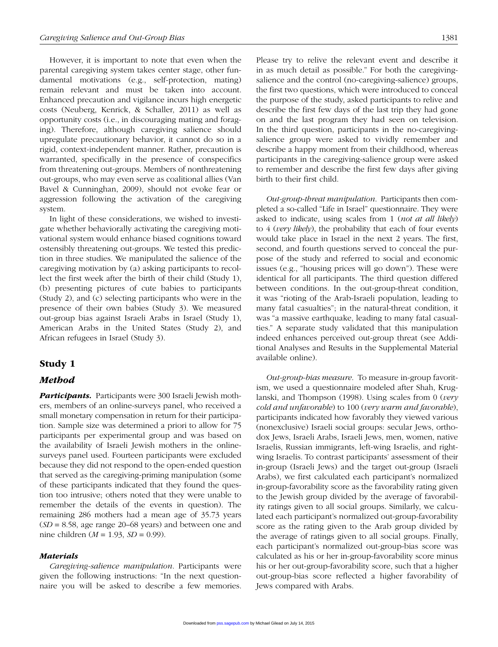However, it is important to note that even when the parental caregiving system takes center stage, other fundamental motivations (e.g., self-protection, mating) remain relevant and must be taken into account. Enhanced precaution and vigilance incurs high energetic costs (Neuberg, Kenrick, & Schaller, 2011) as well as opportunity costs (i.e., in discouraging mating and foraging). Therefore, although caregiving salience should upregulate precautionary behavior, it cannot do so in a rigid, context-independent manner. Rather, precaution is warranted, specifically in the presence of conspecifics from threatening out-groups. Members of nonthreatening out-groups, who may even serve as coalitional allies (Van Bavel & Cunninghan, 2009), should not evoke fear or aggression following the activation of the caregiving system.

In light of these considerations, we wished to investigate whether behaviorally activating the caregiving motivational system would enhance biased cognitions toward ostensibly threatening out-groups. We tested this prediction in three studies. We manipulated the salience of the caregiving motivation by (a) asking participants to recollect the first week after the birth of their child (Study 1), (b) presenting pictures of cute babies to participants (Study 2), and (c) selecting participants who were in the presence of their own babies (Study 3). We measured out-group bias against Israeli Arabs in Israel (Study 1), American Arabs in the United States (Study 2), and African refugees in Israel (Study 3).

## Study 1

## *Method*

*Participants.* Participants were 300 Israeli Jewish mothers, members of an online-surveys panel, who received a small monetary compensation in return for their participation. Sample size was determined a priori to allow for 75 participants per experimental group and was based on the availability of Israeli Jewish mothers in the onlinesurveys panel used. Fourteen participants were excluded because they did not respond to the open-ended question that served as the caregiving-priming manipulation (some of these participants indicated that they found the question too intrusive; others noted that they were unable to remember the details of the events in question). The remaining 286 mothers had a mean age of 35.73 years (*SD* = 8.58, age range 20–68 years) and between one and nine children (*M* = 1.93, *SD* = 0.99).

#### *Materials*

*Caregiving-salience manipulation*. Participants were given the following instructions: "In the next questionnaire you will be asked to describe a few memories. Please try to relive the relevant event and describe it in as much detail as possible." For both the caregivingsalience and the control (no-caregiving-salience) groups, the first two questions, which were introduced to conceal the purpose of the study, asked participants to relive and describe the first few days of the last trip they had gone on and the last program they had seen on television. In the third question, participants in the no-caregivingsalience group were asked to vividly remember and describe a happy moment from their childhood, whereas participants in the caregiving-salience group were asked to remember and describe the first few days after giving birth to their first child.

*Out-group-threat manipulation*. Participants then completed a so-called "Life in Israel" questionnaire. They were asked to indicate, using scales from 1 (*not at all likely*) to 4 (*very likely*), the probability that each of four events would take place in Israel in the next 2 years. The first, second, and fourth questions served to conceal the purpose of the study and referred to social and economic issues (e.g., "housing prices will go down"). These were identical for all participants. The third question differed between conditions. In the out-group-threat condition, it was "rioting of the Arab-Israeli population, leading to many fatal casualties"; in the natural-threat condition, it was "a massive earthquake, leading to many fatal casualties." A separate study validated that this manipulation indeed enhances perceived out-group threat (see Additional Analyses and Results in the Supplemental Material available online).

*Out-group-bias measure*. To measure in-group favoritism, we used a questionnaire modeled after Shah, Kruglanski, and Thompson (1998). Using scales from 0 (*very cold and unfavorable*) to 100 (*very warm and favorable*), participants indicated how favorably they viewed various (nonexclusive) Israeli social groups: secular Jews, orthodox Jews, Israeli Arabs, Israeli Jews, men, women, native Israelis, Russian immigrants, left-wing Israelis, and rightwing Israelis. To contrast participants' assessment of their in-group (Israeli Jews) and the target out-group (Israeli Arabs), we first calculated each participant's normalized in-group-favorability score as the favorability rating given to the Jewish group divided by the average of favorability ratings given to all social groups. Similarly, we calculated each participant's normalized out-group-favorability score as the rating given to the Arab group divided by the average of ratings given to all social groups. Finally, each participant's normalized out-group-bias score was calculated as his or her in-group-favorability score minus his or her out-group-favorability score, such that a higher out-group-bias score reflected a higher favorability of Jews compared with Arabs.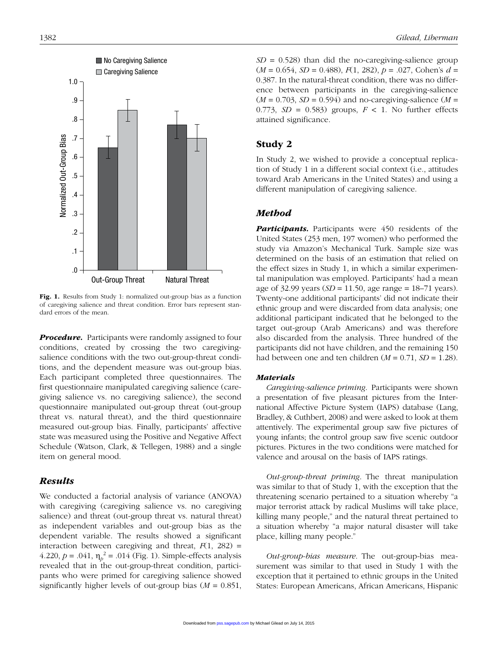

Fig. 1. Results from Study 1: normalized out-group bias as a function of caregiving salience and threat condition. Error bars represent standard errors of the mean.

*Procedure.* Participants were randomly assigned to four conditions, created by crossing the two caregivingsalience conditions with the two out-group-threat conditions, and the dependent measure was out-group bias. Each participant completed three questionnaires. The first questionnaire manipulated caregiving salience (caregiving salience vs. no caregiving salience), the second questionnaire manipulated out-group threat (out-group threat vs. natural threat), and the third questionnaire measured out-group bias. Finally, participants' affective state was measured using the Positive and Negative Affect Schedule (Watson, Clark, & Tellegen, 1988) and a single item on general mood.

# *Results*

We conducted a factorial analysis of variance (ANOVA) with caregiving (caregiving salience vs. no caregiving salience) and threat (out-group threat vs. natural threat) as independent variables and out-group bias as the dependent variable. The results showed a significant interaction between caregiving and threat,  $F(1, 282) =$ 4.220,  $p = .041$ ,  $\eta_p^2 = .014$  (Fig. 1). Simple-effects analysis revealed that in the out-group-threat condition, participants who were primed for caregiving salience showed significantly higher levels of out-group bias (*M* = 0.851,

 $SD = 0.528$ ) than did the no-caregiving-salience group (*M* = 0.654, *SD* = 0.488), *F*(1, 282), *p* = .027, Cohen's *d* = 0.387. In the natural-threat condition, there was no difference between participants in the caregiving-salience  $(M = 0.703, SD = 0.594)$  and no-caregiving-salience  $(M = 0.703, SD = 0.594)$ 0.773,  $SD = 0.583$ ) groups,  $F < 1$ . No further effects attained significance.

## Study 2

In Study 2, we wished to provide a conceptual replication of Study 1 in a different social context (i.e., attitudes toward Arab Americans in the United States) and using a different manipulation of caregiving salience.

## *Method*

*Participants.* Participants were 450 residents of the United States (253 men, 197 women) who performed the study via Amazon's Mechanical Turk. Sample size was determined on the basis of an estimation that relied on the effect sizes in Study 1, in which a similar experimental manipulation was employed. Participants' had a mean age of 32.99 years (*SD* = 11.50, age range = 18–71 years). Twenty-one additional participants' did not indicate their ethnic group and were discarded from data analysis; one additional participant indicated that he belonged to the target out-group (Arab Americans) and was therefore also discarded from the analysis. Three hundred of the participants did not have children, and the remaining 150 had between one and ten children  $(M = 0.71, SD = 1.28)$ .

#### *Materials*

*Caregiving-salience priming*. Participants were shown a presentation of five pleasant pictures from the International Affective Picture System (IAPS) database (Lang, Bradley, & Cuthbert, 2008) and were asked to look at them attentively. The experimental group saw five pictures of young infants; the control group saw five scenic outdoor pictures. Pictures in the two conditions were matched for valence and arousal on the basis of IAPS ratings.

*Out-group-threat priming*. The threat manipulation was similar to that of Study 1, with the exception that the threatening scenario pertained to a situation whereby "a major terrorist attack by radical Muslims will take place, killing many people," and the natural threat pertained to a situation whereby "a major natural disaster will take place, killing many people."

*Out-group-bias measure*. The out-group-bias measurement was similar to that used in Study 1 with the exception that it pertained to ethnic groups in the United States: European Americans, African Americans, Hispanic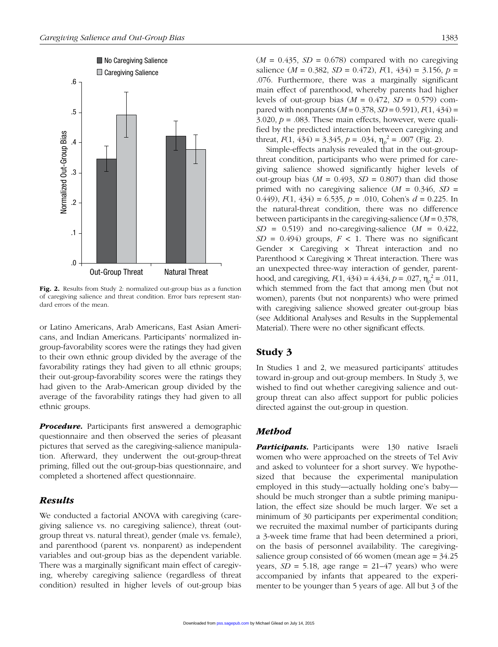

Fig. 2. Results from Study 2: normalized out-group bias as a function of caregiving salience and threat condition. Error bars represent standard errors of the mean.

or Latino Americans, Arab Americans, East Asian Americans, and Indian Americans. Participants' normalized ingroup-favorability scores were the ratings they had given to their own ethnic group divided by the average of the favorability ratings they had given to all ethnic groups; their out-group-favorability scores were the ratings they had given to the Arab-American group divided by the average of the favorability ratings they had given to all ethnic groups.

*Procedure.* Participants first answered a demographic questionnaire and then observed the series of pleasant pictures that served as the caregiving-salience manipulation. Afterward, they underwent the out-group-threat priming, filled out the out-group-bias questionnaire, and completed a shortened affect questionnaire.

# *Results*

We conducted a factorial ANOVA with caregiving (caregiving salience vs. no caregiving salience), threat (outgroup threat vs. natural threat), gender (male vs. female), and parenthood (parent vs. nonparent) as independent variables and out-group bias as the dependent variable. There was a marginally significant main effect of caregiving, whereby caregiving salience (regardless of threat condition) resulted in higher levels of out-group bias  $(M = 0.435, SD = 0.678)$  compared with no caregiving salience ( $M = 0.382$ ,  $SD = 0.472$ ),  $F(1, 434) = 3.156$ ,  $p =$ .076. Furthermore, there was a marginally significant main effect of parenthood, whereby parents had higher levels of out-group bias  $(M = 0.472, SD = 0.579)$  compared with nonparents  $(M = 0.378, SD = 0.591)$ ,  $F(1, 434) =$ 3.020,  $p = 0.083$ . These main effects, however, were qualified by the predicted interaction between caregiving and threat,  $F(1, 434) = 3.345$ ,  $p = .034$ ,  $\eta_p^2 = .007$  (Fig. 2).

Simple-effects analysis revealed that in the out-groupthreat condition, participants who were primed for caregiving salience showed significantly higher levels of out-group bias  $(M = 0.493, SD = 0.807)$  than did those primed with no caregiving salience  $(M = 0.346, SD =$ 0.449),  $F(1, 434) = 6.535$ ,  $p = .010$ , Cohen's  $d = 0.225$ . In the natural-threat condition, there was no difference between participants in the caregiving-salience (*M* = 0.378,  $SD = 0.519$ ) and no-caregiving-salience  $(M = 0.422,$  $SD = 0.494$ ) groups,  $F < 1$ . There was no significant Gender  $\times$  Caregiving  $\times$  Threat interaction and no Parenthood  $\times$  Caregiving  $\times$  Threat interaction. There was an unexpected three-way interaction of gender, parenthood, and caregiving,  $F(1, 434) = 4.434$ ,  $p = .027$ ,  $\eta_p^2 = .011$ , which stemmed from the fact that among men (but not women), parents (but not nonparents) who were primed with caregiving salience showed greater out-group bias (see Additional Analyses and Results in the Supplemental Material). There were no other significant effects.

# Study 3

In Studies 1 and 2, we measured participants' attitudes toward in-group and out-group members. In Study 3, we wished to find out whether caregiving salience and outgroup threat can also affect support for public policies directed against the out-group in question.

# *Method*

**Participants.** Participants were 130 native Israeli women who were approached on the streets of Tel Aviv and asked to volunteer for a short survey. We hypothesized that because the experimental manipulation employed in this study—actually holding one's baby should be much stronger than a subtle priming manipulation, the effect size should be much larger. We set a minimum of 30 participants per experimental condition; we recruited the maximal number of participants during a 3-week time frame that had been determined a priori, on the basis of personnel availability. The caregivingsalience group consisted of 66 women (mean age = 34.25 years,  $SD = 5.18$ , age range =  $21-47$  years) who were accompanied by infants that appeared to the experimenter to be younger than 5 years of age. All but 3 of the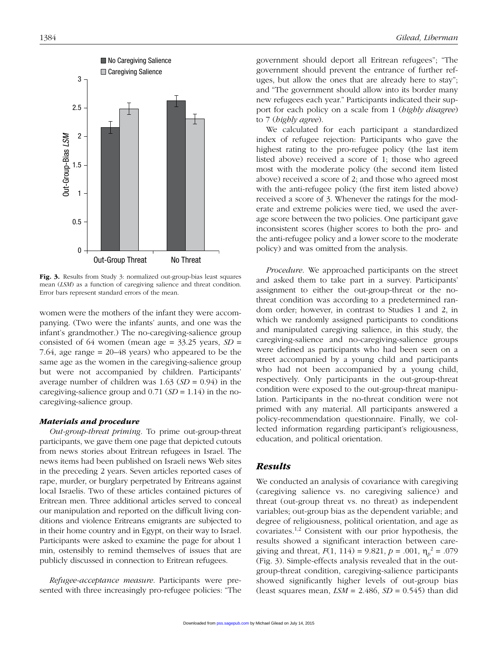

Fig. 3. Results from Study 3: normalized out-group-bias least squares mean (*LSM*) as a function of caregiving salience and threat condition. Error bars represent standard errors of the mean.

women were the mothers of the infant they were accompanying. (Two were the infants' aunts, and one was the infant's grandmother.) The no-caregiving-salience group consisted of 64 women (mean age  $=$  33.25 years,  $SD =$ 7.64, age range = 20–48 years) who appeared to be the same age as the women in the caregiving-salience group but were not accompanied by children. Participants' average number of children was 1.63 (*SD* = 0.94) in the caregiving-salience group and  $0.71$  (*SD* = 1.14) in the nocaregiving-salience group.

#### *Materials and procedure*

*Out-group-threat priming*. To prime out-group-threat participants, we gave them one page that depicted cutouts from news stories about Eritrean refugees in Israel. The news items had been published on Israeli news Web sites in the preceding 2 years. Seven articles reported cases of rape, murder, or burglary perpetrated by Eritreans against local Israelis. Two of these articles contained pictures of Eritrean men. Three additional articles served to conceal our manipulation and reported on the difficult living conditions and violence Eritreans emigrants are subjected to in their home country and in Egypt, on their way to Israel. Participants were asked to examine the page for about 1 min, ostensibly to remind themselves of issues that are publicly discussed in connection to Eritrean refugees.

*Refugee-acceptance measure*. Participants were presented with three increasingly pro-refugee policies: "The government should deport all Eritrean refugees"; "The government should prevent the entrance of further refuges, but allow the ones that are already here to stay"; and "The government should allow into its border many new refugees each year." Participants indicated their support for each policy on a scale from 1 (*highly disagree*) to 7 (*highly agree*).

We calculated for each participant a standardized index of refugee rejection: Participants who gave the highest rating to the pro-refugee policy (the last item listed above) received a score of 1; those who agreed most with the moderate policy (the second item listed above) received a score of 2; and those who agreed most with the anti-refugee policy (the first item listed above) received a score of 3. Whenever the ratings for the moderate and extreme policies were tied, we used the average score between the two policies. One participant gave inconsistent scores (higher scores to both the pro- and the anti-refugee policy and a lower score to the moderate policy) and was omitted from the analysis.

*Procedure*. We approached participants on the street and asked them to take part in a survey. Participants' assignment to either the out-group-threat or the nothreat condition was according to a predetermined random order; however, in contrast to Studies 1 and 2, in which we randomly assigned participants to conditions and manipulated caregiving salience, in this study, the caregiving-salience and no-caregiving-salience groups were defined as participants who had been seen on a street accompanied by a young child and participants who had not been accompanied by a young child, respectively. Only participants in the out-group-threat condition were exposed to the out-group-threat manipulation. Participants in the no-threat condition were not primed with any material. All participants answered a policy-recommendation questionnaire. Finally, we collected information regarding participant's religiousness, education, and political orientation.

# *Results*

We conducted an analysis of covariance with caregiving (caregiving salience vs. no caregiving salience) and threat (out-group threat vs. no threat) as independent variables; out-group bias as the dependent variable; and degree of religiousness, political orientation, and age as covariates.<sup>1,2</sup> Consistent with our prior hypothesis, the results showed a significant interaction between caregiving and threat,  $F(1, 114) = 9.821$ ,  $p = .001$ ,  $\eta_p^2 = .079$ (Fig. 3). Simple-effects analysis revealed that in the outgroup-threat condition, caregiving-salience participants showed significantly higher levels of out-group bias (least squares mean,  $LSM = 2.486$ ,  $SD = 0.545$ ) than did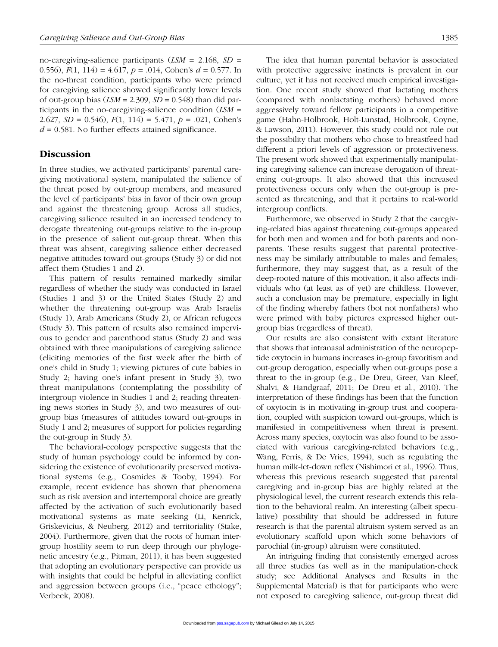no-caregiving-salience participants (*LSM* = 2.168, *SD* = 0.556), *F*(1, 114) = 4.617, *p* = .014, Cohen's *d* = 0.577. In the no-threat condition, participants who were primed for caregiving salience showed significantly lower levels of out-group bias (*LSM* = 2.309, *SD* = 0.548) than did participants in the no-caregiving-salience condition (*LSM* = 2.627, *SD* = 0.546), *F*(1, 114) = 5.471, *p* = .021, Cohen's  $d = 0.581$ . No further effects attained significance.

# **Discussion**

In three studies, we activated participants' parental caregiving motivational system, manipulated the salience of the threat posed by out-group members, and measured the level of participants' bias in favor of their own group and against the threatening group. Across all studies, caregiving salience resulted in an increased tendency to derogate threatening out-groups relative to the in-group in the presence of salient out-group threat. When this threat was absent, caregiving salience either decreased negative attitudes toward out-groups (Study 3) or did not affect them (Studies 1 and 2).

This pattern of results remained markedly similar regardless of whether the study was conducted in Israel (Studies 1 and 3) or the United States (Study 2) and whether the threatening out-group was Arab Israelis (Study 1), Arab Americans (Study 2), or African refugees (Study 3). This pattern of results also remained impervious to gender and parenthood status (Study 2) and was obtained with three manipulations of caregiving salience (eliciting memories of the first week after the birth of one's child in Study 1; viewing pictures of cute babies in Study 2; having one's infant present in Study 3), two threat manipulations (contemplating the possibility of intergroup violence in Studies 1 and 2; reading threatening news stories in Study 3), and two measures of outgroup bias (measures of attitudes toward out-groups in Study 1 and 2; measures of support for policies regarding the out-group in Study 3).

The behavioral-ecology perspective suggests that the study of human psychology could be informed by considering the existence of evolutionarily preserved motivational systems (e.g., Cosmides & Tooby, 1994). For example, recent evidence has shown that phenomena such as risk aversion and intertemporal choice are greatly affected by the activation of such evolutionarily based motivational systems as mate seeking (Li, Kenrick, Griskevicius, & Neuberg, 2012) and territoriality (Stake, 2004). Furthermore, given that the roots of human intergroup hostility seem to run deep through our phylogenetic ancestry (e.g., Pitman, 2011), it has been suggested that adopting an evolutionary perspective can provide us with insights that could be helpful in alleviating conflict and aggression between groups (i.e., "peace ethology"; Verbeek, 2008).

The idea that human parental behavior is associated with protective aggressive instincts is prevalent in our culture, yet it has not received much empirical investigation. One recent study showed that lactating mothers (compared with nonlactating mothers) behaved more aggressively toward fellow participants in a competitive game (Hahn-Holbrook, Holt-Lunstad, Holbrook, Coyne, & Lawson, 2011). However, this study could not rule out the possibility that mothers who chose to breastfeed had different a priori levels of aggression or protectiveness. The present work showed that experimentally manipulating caregiving salience can increase derogation of threatening out-groups. It also showed that this increased protectiveness occurs only when the out-group is presented as threatening, and that it pertains to real-world intergroup conflicts.

Furthermore, we observed in Study 2 that the caregiving-related bias against threatening out-groups appeared for both men and women and for both parents and nonparents. These results suggest that parental protectiveness may be similarly attributable to males and females; furthermore, they may suggest that, as a result of the deep-rooted nature of this motivation, it also affects individuals who (at least as of yet) are childless. However, such a conclusion may be premature, especially in light of the finding whereby fathers (bot not nonfathers) who were primed with baby pictures expressed higher outgroup bias (regardless of threat).

Our results are also consistent with extant literature that shows that intranasal administration of the neuropeptide oxytocin in humans increases in-group favoritism and out-group derogation, especially when out-groups pose a threat to the in-group (e.g., De Dreu, Greer, Van Kleef, Shalvi, & Handgraaf, 2011; De Dreu et al., 2010). The interpretation of these findings has been that the function of oxytocin is in motivating in-group trust and cooperation, coupled with suspicion toward out-groups, which is manifested in competitiveness when threat is present. Across many species, oxytocin was also found to be associated with various caregiving-related behaviors (e.g., Wang, Ferris, & De Vries, 1994), such as regulating the human milk-let-down reflex (Nishimori et al., 1996). Thus, whereas this previous research suggested that parental caregiving and in-group bias are highly related at the physiological level, the current research extends this relation to the behavioral realm. An interesting (albeit speculative) possibility that should be addressed in future research is that the parental altruism system served as an evolutionary scaffold upon which some behaviors of parochial (in-group) altruism were constituted.

An intriguing finding that consistently emerged across all three studies (as well as in the manipulation-check study; see Additional Analyses and Results in the Supplemental Material) is that for participants who were not exposed to caregiving salience, out-group threat did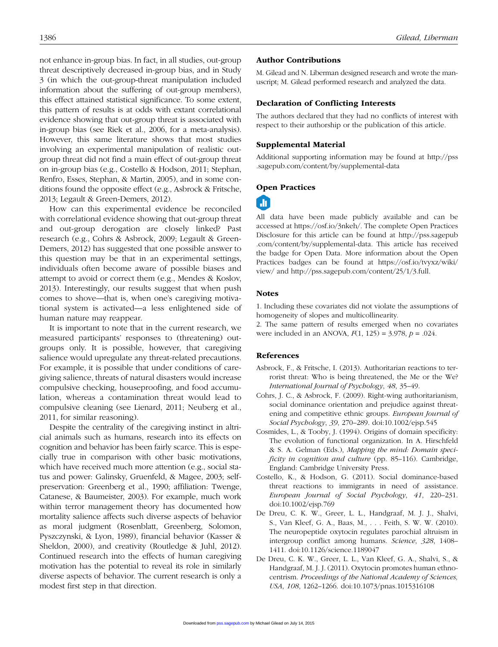not enhance in-group bias. In fact, in all studies, out-group threat descriptively decreased in-group bias, and in Study 3 (in which the out-group-threat manipulation included information about the suffering of out-group members), this effect attained statistical significance. To some extent, this pattern of results is at odds with extant correlational evidence showing that out-group threat is associated with in-group bias (see Riek et al., 2006, for a meta-analysis). However, this same literature shows that most studies involving an experimental manipulation of realistic outgroup threat did not find a main effect of out-group threat on in-group bias (e.g., Costello & Hodson, 2011; Stephan, Renfro, Esses, Stephan, & Martin, 2005), and in some conditions found the opposite effect (e.g., Asbrock & Fritsche, 2013; Legault & Green-Demers, 2012).

How can this experimental evidence be reconciled with correlational evidence showing that out-group threat and out-group derogation are closely linked? Past research (e.g., Cohrs & Asbrock, 2009; Legault & Green-Demers, 2012) has suggested that one possible answer to this question may be that in an experimental settings, individuals often become aware of possible biases and attempt to avoid or correct them (e.g., Mendes & Koslov, 2013). Interestingly, our results suggest that when push comes to shove—that is, when one's caregiving motivational system is activated—a less enlightened side of human nature may reappear.

It is important to note that in the current research, we measured participants' responses to (threatening) outgroups only. It is possible, however, that caregiving salience would upregulate any threat-related precautions. For example, it is possible that under conditions of caregiving salience, threats of natural disasters would increase compulsive checking, houseproofing, and food accumulation, whereas a contamination threat would lead to compulsive cleaning (see Lienard, 2011; Neuberg et al., 2011, for similar reasoning).

Despite the centrality of the caregiving instinct in altricial animals such as humans, research into its effects on cognition and behavior has been fairly scarce. This is especially true in comparison with other basic motivations, which have received much more attention (e.g., social status and power: Galinsky, Gruenfeld, & Magee, 2003; selfpreservation: Greenberg et al., 1990; affiliation: Twenge, Catanese, & Baumeister, 2003). For example, much work within terror management theory has documented how mortality salience affects such diverse aspects of behavior as moral judgment (Rosenblatt, Greenberg, Solomon, Pyszczynski, & Lyon, 1989), financial behavior (Kasser & Sheldon, 2000), and creativity (Routledge & Juhl, 2012). Continued research into the effects of human caregiving motivation has the potential to reveal its role in similarly diverse aspects of behavior. The current research is only a modest first step in that direction.

#### Author Contributions

M. Gilead and N. Liberman designed research and wrote the manuscript; M. Gilead performed research and analyzed the data.

## Declaration of Conflicting Interests

The authors declared that they had no conflicts of interest with respect to their authorship or the publication of this article.

## Supplemental Material

[Additional supporting information may be found at http://pss](http://pss.sagepub.com/content/by/supplemental-data) .sagepub.com/content/by/supplemental-data

#### Open Practices

Ш

All data have been made publicly available and can be accessed at https://osf.io/3nkeh/. The complete Open Practices [Disclosure for this article can be found at http://pss.sagepub](http://pss.sagepub.com/content/by/supplemental-data) .com/content/by/supplemental-data. This article has received the badge for Open Data. More information about the Open [Practices badges can be found at https://osf.io/tvyxz/wiki/](https://osf.io/tvyxz/wiki/view/) view/ and [http://pss.sagepub.com/content/25/1/3.full.](http://pss.sagepub.com/content/25/1/3.full)

## **Notes**

1. Including these covariates did not violate the assumptions of homogeneity of slopes and multicollinearity.

2. The same pattern of results emerged when no covariates were included in an ANOVA, *F*(1, 125) = 3.978, *p* = .024.

## References

- Asbrock, F., & Fritsche, I. (2013). Authoritarian reactions to terrorist threat: Who is being threatened, the Me or the We? *International Journal of Psychology*, *48*, 35–49.
- Cohrs, J. C., & Asbrock, F. (2009). Right-wing authoritarianism, social dominance orientation and prejudice against threatening and competitive ethnic groups. *European Journal of Social Psychology*, *39*, 270–289. doi:10.1002/ejsp.545
- Cosmides, L., & Tooby, J. (1994). Origins of domain specificity: The evolution of functional organization. In A. Hirschfeld & S. A. Gelman (Eds.), *Mapping the mind: Domain specificity in cognition and culture* (pp. 85–116). Cambridge, England: Cambridge University Press.
- Costello, K., & Hodson, G. (2011). Social dominance-based threat reactions to immigrants in need of assistance. *European Journal of Social Psychology*, *41*, 220–231. doi:10.1002/ejsp.769
- De Dreu, C. K. W., Greer, L. L., Handgraaf, M. J. J., Shalvi, S., Van Kleef, G. A., Baas, M., . . . Feith, S. W. W. (2010). The neuropeptide oxytocin regulates parochial altruism in intergroup conflict among humans. *Science*, *328*, 1408– 1411. doi:10.1126/science.1189047
- De Dreu, C. K. W., Greer, L. L., Van Kleef, G. A., Shalvi, S., & Handgraaf, M. J. J. (2011). Oxytocin promotes human ethnocentrism. *Proceedings of the National Academy of Sciences, USA*, *108*, 1262–1266. doi:10.1073/pnas.1015316108